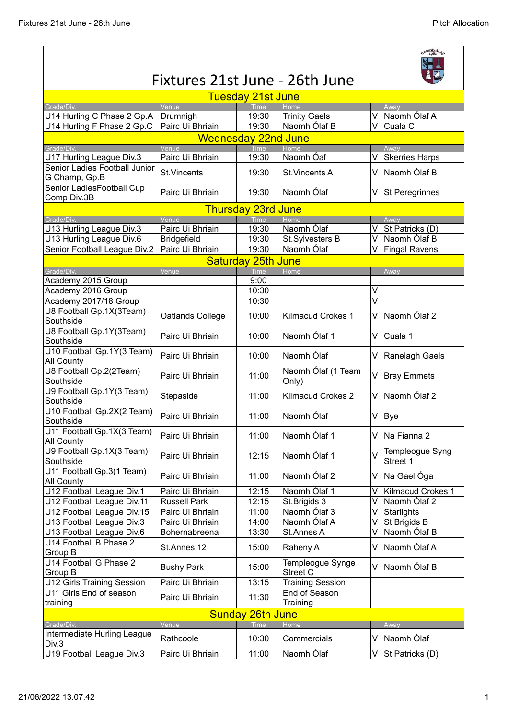| $0^{10}$ $\frac{1}{1981}$ $\frac{61}{5}$                               |                     |                           |                              |                           |                                 |  |  |  |  |  |
|------------------------------------------------------------------------|---------------------|---------------------------|------------------------------|---------------------------|---------------------------------|--|--|--|--|--|
| Fixtures 21st June - 26th June                                         |                     |                           |                              |                           |                                 |  |  |  |  |  |
| <b>Tuesday 21st June</b><br>Grade/Div.<br>Venue<br><b>Time</b><br>Home |                     |                           |                              |                           |                                 |  |  |  |  |  |
| U14 Hurling C Phase 2 Gp.A                                             | Drumnigh            | 19:30                     | <b>Trinity Gaels</b>         | V                         | Away<br>Naomh Ólaf A            |  |  |  |  |  |
| U14 Hurling F Phase 2 Gp.C                                             | Pairc Ui Bhriain    | 19:30                     | Naomh Ólaf B                 | $\overline{\mathsf{V}^-}$ | Cuala C                         |  |  |  |  |  |
| <b>Wednesday 22nd June</b>                                             |                     |                           |                              |                           |                                 |  |  |  |  |  |
| Grade/Div.                                                             | Venue               | Time                      | Home                         |                           | Away                            |  |  |  |  |  |
| U17 Hurling League Div.3                                               | Pairc Ui Bhriain    | 19:30                     | Naomh Óaf                    |                           | V Skerries Harps                |  |  |  |  |  |
| Senior Ladies Football Junior<br>G Champ, Gp.B                         | St.Vincents         | 19:30                     | <b>St. Vincents A</b>        |                           | V Naomh Ólaf B                  |  |  |  |  |  |
| Senior LadiesFootball Cup<br>Comp Div.3B                               | Pairc Ui Bhriain    | 19:30                     | Naomh Ólaf                   |                           | V St.Peregrinnes                |  |  |  |  |  |
|                                                                        |                     | <b>Thursday 23rd June</b> |                              |                           |                                 |  |  |  |  |  |
| Grade/Div.                                                             | Venue               | <b>Time</b>               | Home                         |                           | Away                            |  |  |  |  |  |
| U13 Hurling League Div.3                                               | Pairc Ui Bhriain    | 19:30                     | Naomh Ólaf                   | V                         | St.Patricks (D)                 |  |  |  |  |  |
| U13 Hurling League Div.6                                               | <b>Bridgefield</b>  | 19:30                     | St.Sylvesters B              |                           | V Naomh Ólaf B                  |  |  |  |  |  |
| Senior Football League Div.2                                           | Pairc Ui Bhriain    | 19:30                     | Naomh Ólaf                   |                           | V Fingal Ravens                 |  |  |  |  |  |
|                                                                        |                     | <b>Saturday 25th June</b> |                              |                           |                                 |  |  |  |  |  |
| Grade/Div.                                                             | Venue               | <b>Time</b>               | Home                         |                           | Away                            |  |  |  |  |  |
| Academy 2015 Group                                                     |                     | 9:00                      |                              |                           |                                 |  |  |  |  |  |
| Academy 2016 Group                                                     |                     | 10:30                     |                              | V                         |                                 |  |  |  |  |  |
| Academy 2017/18 Group                                                  |                     | 10:30                     |                              | $\overline{\mathsf{v}}$   |                                 |  |  |  |  |  |
| U8 Football Gp.1X(3Team)<br>Southside                                  | Oatlands College    | 10:00                     | Kilmacud Crokes 1            |                           | V Naomh Ólaf 2                  |  |  |  |  |  |
| U8 Football Gp.1Y(3Team)<br>Southside                                  | Pairc Ui Bhriain    | 10:00                     | Naomh Ólaf 1                 |                           | V Cuala 1                       |  |  |  |  |  |
| U10 Football Gp.1Y(3 Team)<br><b>All County</b>                        | Pairc Ui Bhriain    | 10:00                     | Naomh Ólaf                   |                           | V Ranelagh Gaels                |  |  |  |  |  |
| U8 Football Gp.2(2Team)<br>Southside                                   | Pairc Ui Bhriain    | 11:00                     | Naomh Ólaf (1 Team<br>Only)  |                           | V   Bray Emmets                 |  |  |  |  |  |
| U9 Football Gp.1Y(3 Team)<br>Southside                                 | Stepaside           | 11:00                     | <b>Kilmacud Crokes 2</b>     |                           | V Naomh Ólaf 2                  |  |  |  |  |  |
| U10 Football Gp.2X(2 Team)<br>Southside                                | Pairc Ui Bhriain    | 11:00                     | Naomh Ólaf                   |                           | $V$  Bye                        |  |  |  |  |  |
| U11 Football Gp.1X(3 Team)<br><b>All County</b>                        | Pairc Ui Bhriain    | 11:00                     | Naomh Ólaf 1                 |                           | V   Na Fianna 2                 |  |  |  |  |  |
| U9 Football Gp.1X(3 Team)<br>Southside                                 | Pairc Ui Bhriain    | 12:15                     | Naomh Ólaf 1                 | $\vee$                    | Templeogue Syng<br>Street 1     |  |  |  |  |  |
| U11 Football Gp.3(1 Team)<br><b>All County</b>                         | Pairc Ui Bhriain    | 11:00                     | Naomh Ólaf 2                 | V                         | Na Gael Óga                     |  |  |  |  |  |
| U12 Football League Div.1                                              | Pairc Ui Bhriain    | 12:15                     | Naomh Ólaf 1                 | V                         | Kilmacud Crokes 1               |  |  |  |  |  |
| U12 Football League Div.11                                             | <b>Russell Park</b> | 12:15                     | St.Brigids 3                 | V                         | Naomh Ólaf 2                    |  |  |  |  |  |
| U12 Football League Div.15                                             | Pairc Ui Bhriain    | 11:00                     | Naomh Ólaf 3                 | V                         | Starlights                      |  |  |  |  |  |
| U13 Football League Div.3                                              | Pairc Ui Bhriain    | 14:00                     | Naomh Ólaf A                 | V                         | St.Brigids B                    |  |  |  |  |  |
| U13 Football League Div.6                                              | Bohernabreena       | 13:30                     | St.Annes A                   | V                         | ∣Naomh Ólaf B                   |  |  |  |  |  |
| U14 Football B Phase 2<br>Group B                                      | St.Annes 12         | 15:00                     | Raheny A                     | V                         | Naomh Ólaf A                    |  |  |  |  |  |
| U14 Football G Phase 2<br>Group B                                      | <b>Bushy Park</b>   | 15:00                     | Templeogue Synge<br>Street C | V                         | Naomh Ólaf B                    |  |  |  |  |  |
| <b>U12 Girls Training Session</b>                                      | Pairc Ui Bhriain    | 13:15                     | <b>Training Session</b>      |                           |                                 |  |  |  |  |  |
| U11 Girls End of season<br>training                                    | Pairc Ui Bhriain    | 11:30                     | End of Season<br>Training    |                           |                                 |  |  |  |  |  |
| <b>Sunday 26th June</b>                                                |                     |                           |                              |                           |                                 |  |  |  |  |  |
| Grade/Div.                                                             | Venue               | Time                      | Home                         |                           | Away                            |  |  |  |  |  |
| Intermediate Hurling League                                            |                     |                           |                              |                           |                                 |  |  |  |  |  |
| Div.3                                                                  | Rathcoole           | 10:30                     | Commercials                  |                           | V Naomh Ólaf                    |  |  |  |  |  |
| U19 Football League Div.3                                              | Pairc Ui Bhriain    | 11:00                     | Naomh Ólaf                   |                           | $\overline{V}$ St. Patricks (D) |  |  |  |  |  |